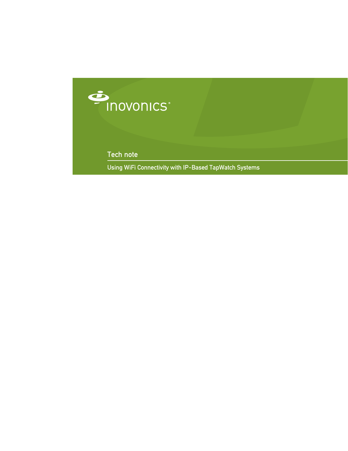

Tech note

Using WiFi Connectivity with IP-Based TapWatch Systems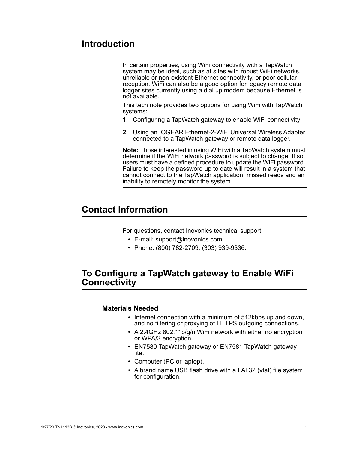# **Introduction**

In certain properties, using WiFi connectivity with a TapWatch system may be ideal, such as at sites with robust WiFi networks, unreliable or non-existent Ethernet connectivity, or poor cellular reception. WiFi can also be a good option for legacy remote data logger sites currently using a dial up modem because Ethernet is not available.

This tech note provides two options for using WiFi with TapWatch systems:

- **1.** Configuring a TapWatch gateway to enable WiFi connectivity
- **2.** Using an IOGEAR Ethernet-2-WiFi Universal Wireless Adapter connected to a TapWatch gateway or remote data logger.

**Note:** Those interested in using WiFi with a TapWatch system must determine if the WiFi network password is subject to change. If so, users must have a defined procedure to update the WiFi password. Failure to keep the password up to date will result in a system that cannot connect to the TapWatch application, missed reads and an inability to remotely monitor the system.

# **Contact Information**

For questions, contact Inovonics technical support:

- E-mail: support@inovonics.com.
- Phone: (800) 782-2709; (303) 939-9336.

## **To Configure a TapWatch gateway to Enable WiFi Connectivity**

### **Materials Needed**

- Internet connection with a minimum of 512kbps up and down, and no filtering or proxying of HTTPS outgoing connections.
- A 2.4GHz 802.11b/g/n WiFi network with either no encryption or WPA/2 encryption.
- EN7580 TapWatch gateway or EN7581 TapWatch gateway lite.
- Computer (PC or laptop).
- A brand name USB flash drive with a FAT32 (vfat) file system for configuration.

#### 1/27/20 TN1113B © Inovonics, 2020 - www.inovonics.com 1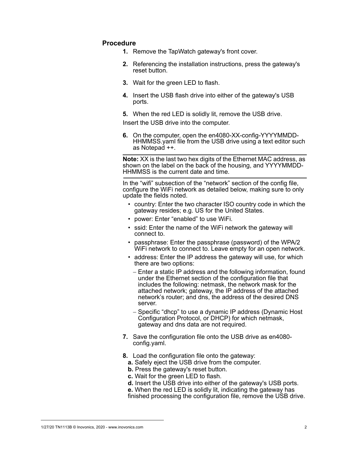## **Procedure**

- **1.** Remove the TapWatch gateway's front cover.
- **2.** Referencing the installation instructions, press the gateway's reset button.
- **3.** Wait for the green LED to flash.
- **4.** Insert the USB flash drive into either of the gateway's USB ports.

**5.** When the red LED is solidly lit, remove the USB drive. Insert the USB drive into the computer.

**6.** On the computer, open the en4080-XX-config-YYYYMMDD-HHMMSS.yaml file from the USB drive using a text editor such as Notepad ++.

**Note:** XX is the last two hex digits of the Ethernet MAC address, as shown on the label on the back of the housing, and YYYYMMDD-HHMMSS is the current date and time.

In the "wifi" subsection of the "network" section of the config file, configure the WiFi network as detailed below, making sure to only update the fields noted.

- country: Enter the two character ISO country code in which the gateway resides; e.g. US for the United States.
- power: Enter "enabled" to use WiFi.
- ssid: Enter the name of the WiFi network the gateway will connect to.
- passphrase: Enter the passphrase (password) of the WPA/2 WiFi network to connect to. Leave empty for an open network.
- address: Enter the IP address the gateway will use, for which there are two options:
	- Enter a static IP address and the following information, found under the Ethernet section of the configuration file that includes the following: netmask, the network mask for the attached network; gateway, the IP address of the attached network's router; and dns, the address of the desired DNS server.
	- Specific "dhcp" to use a dynamic IP address (Dynamic Host Configuration Protocol, or DHCP) for which netmask, gateway and dns data are not required.
- **7.** Save the configuration file onto the USB drive as en4080 config.yaml.
- **8.** Load the configuration file onto the gateway:
	- **a.** Safely eject the USB drive from the computer.
	- **b.** Press the gateway's reset button.
- **c.** Wait for the green LED to flash.
- **d.** Insert the USB drive into either of the gateway's USB ports.
- **e.** When the red LED is solidly lit, indicating the gateway has

finished processing the configuration file, remove the USB drive.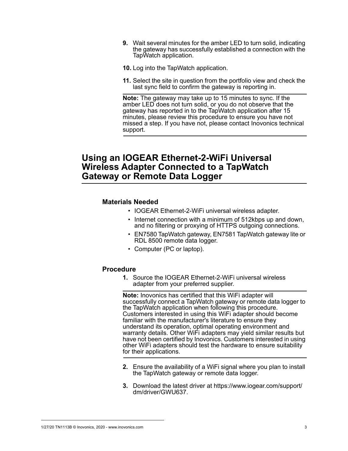- **9.** Wait several minutes for the amber LED to turn solid, indicating the gateway has successfully established a connection with the TapWatch application.
- **10.** Log into the TapWatch application.
- **11.** Select the site in question from the portfolio view and check the last sync field to confirm the gateway is reporting in.

**Note:** The gateway may take up to 15 minutes to sync. If the amber LED does not turn solid, or you do not observe that the gateway has reported in to the TapWatch application after 15 minutes, please review this procedure to ensure you have not missed a step. If you have not, please contact Inovonics technical support.

# **Using an IOGEAR Ethernet-2-WiFi Universal Wireless Adapter Connected to a TapWatch Gateway or Remote Data Logger**

## **Materials Needed**

- IOGEAR Ethernet-2-WiFi universal wireless adapter.
- Internet connection with a minimum of 512kbps up and down, and no filtering or proxying of HTTPS outgoing connections.
- EN7580 TapWatch gateway, EN7581 TapWatch gateway lite or RDL 8500 remote data logger.
- Computer (PC or laptop).

## **Procedure**

**1.** Source the IOGEAR Ethernet-2-WiFi universal wireless adapter from your preferred supplier.

**Note:** Inovonics has certified that this WiFi adapter will successfully connect a TapWatch gateway or remote data logger to the TapWatch application when following this procedure. Customers interested in using this WiFi adapter should become familiar with the manufacturer's literature to ensure they understand its operation, optimal operating environment and warranty details. Other WiFi adapters may yield similar results but have not been certified by Inovonics. Customers interested in using other WiFi adapters should test the hardware to ensure suitability for their applications.

- **2.** Ensure the availability of a WiFi signal where you plan to install the TapWatch gateway or remote data logger.
- **3.** Download the latest driver at https://www.iogear.com/support/ dm/driver/GWU637.